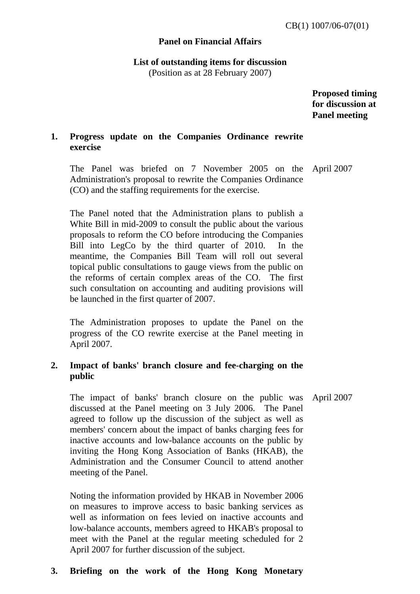#### **Panel on Financial Affairs**

**List of outstanding items for discussion**  (Position as at 28 February 2007)

> **Proposed timing for discussion at Panel meeting**

### **1. Progress update on the Companies Ordinance rewrite exercise**

The Panel was briefed on 7 November 2005 on the Administration's proposal to rewrite the Companies Ordinance (CO) and the staffing requirements for the exercise. April 2007

The Panel noted that the Administration plans to publish a White Bill in mid-2009 to consult the public about the various proposals to reform the CO before introducing the Companies Bill into LegCo by the third quarter of 2010. In the meantime, the Companies Bill Team will roll out several topical public consultations to gauge views from the public on the reforms of certain complex areas of the CO. The first such consultation on accounting and auditing provisions will be launched in the first quarter of 2007.

The Administration proposes to update the Panel on the progress of the CO rewrite exercise at the Panel meeting in April 2007.

### **2. Impact of banks' branch closure and fee-charging on the public**

The impact of banks' branch closure on the public was discussed at the Panel meeting on 3 July 2006. The Panel agreed to follow up the discussion of the subject as well as members' concern about the impact of banks charging fees for inactive accounts and low-balance accounts on the public by inviting the Hong Kong Association of Banks (HKAB), the Administration and the Consumer Council to attend another meeting of the Panel. April 2007

Noting the information provided by HKAB in November 2006 on measures to improve access to basic banking services as well as information on fees levied on inactive accounts and low-balance accounts, members agreed to HKAB's proposal to meet with the Panel at the regular meeting scheduled for 2 April 2007 for further discussion of the subject.

#### **3. Briefing on the work of the Hong Kong Monetary**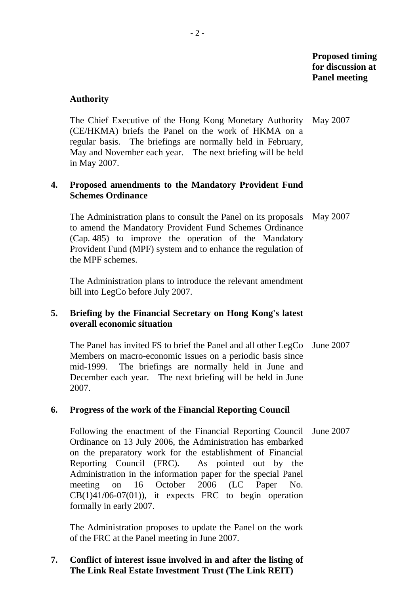#### **Authority**

 The Chief Executive of the Hong Kong Monetary Authority (CE/HKMA) briefs the Panel on the work of HKMA on a regular basis. The briefings are normally held in February, May and November each year. The next briefing will be held in May 2007. May 2007

#### **4. Proposed amendments to the Mandatory Provident Fund Schemes Ordinance**

 The Administration plans to consult the Panel on its proposals to amend the Mandatory Provident Fund Schemes Ordinance (Cap. 485) to improve the operation of the Mandatory Provident Fund (MPF) system and to enhance the regulation of the MPF schemes. May 2007

 The Administration plans to introduce the relevant amendment bill into LegCo before July 2007.

# **5. Briefing by the Financial Secretary on Hong Kong's latest overall economic situation**

 The Panel has invited FS to brief the Panel and all other LegCo June 2007 Members on macro-economic issues on a periodic basis since mid-1999. The briefings are normally held in June and December each year. The next briefing will be held in June 2007.

#### **6. Progress of the work of the Financial Reporting Council**

 Following the enactment of the Financial Reporting Council June 2007 Ordinance on 13 July 2006, the Administration has embarked on the preparatory work for the establishment of Financial Reporting Council (FRC). As pointed out by the Administration in the information paper for the special Panel meeting on 16 October 2006 (LC Paper No.  $CB(1)41/06-07(01)$ , it expects FRC to begin operation formally in early 2007.

 The Administration proposes to update the Panel on the work of the FRC at the Panel meeting in June 2007.

### **7. Conflict of interest issue involved in and after the listing of The Link Real Estate Investment Trust (The Link REIT)**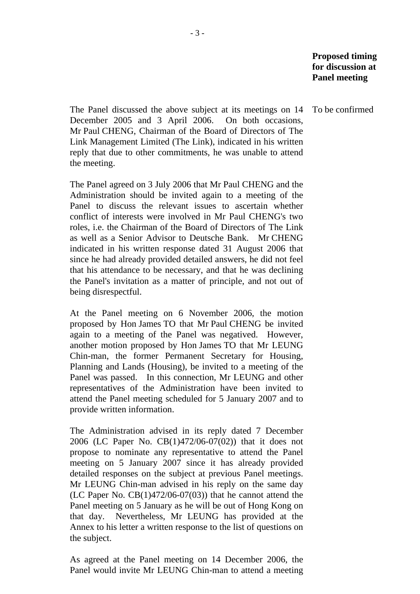The Panel discussed the above subject at its meetings on 14 December 2005 and 3 April 2006. On both occasions, Mr Paul CHENG, Chairman of the Board of Directors of The Link Management Limited (The Link), indicated in his written reply that due to other commitments, he was unable to attend the meeting.

 The Panel agreed on 3 July 2006 that Mr Paul CHENG and the Administration should be invited again to a meeting of the Panel to discuss the relevant issues to ascertain whether conflict of interests were involved in Mr Paul CHENG's two roles, i.e. the Chairman of the Board of Directors of The Link as well as a Senior Advisor to Deutsche Bank. Mr CHENG indicated in his written response dated 31 August 2006 that since he had already provided detailed answers, he did not feel that his attendance to be necessary, and that he was declining the Panel's invitation as a matter of principle, and not out of being disrespectful.

 At the Panel meeting on 6 November 2006, the motion proposed by Hon James TO that Mr Paul CHENG be invited again to a meeting of the Panel was negatived. However, another motion proposed by Hon James TO that Mr LEUNG Chin-man, the former Permanent Secretary for Housing, Planning and Lands (Housing), be invited to a meeting of the Panel was passed. In this connection, Mr LEUNG and other representatives of the Administration have been invited to attend the Panel meeting scheduled for 5 January 2007 and to provide written information.

 The Administration advised in its reply dated 7 December 2006 (LC Paper No. CB(1)472/06-07(02)) that it does not propose to nominate any representative to attend the Panel meeting on 5 January 2007 since it has already provided detailed responses on the subject at previous Panel meetings. Mr LEUNG Chin-man advised in his reply on the same day (LC Paper No.  $CB(1)472/06-07(03)$ ) that he cannot attend the Panel meeting on 5 January as he will be out of Hong Kong on that day. Nevertheless, Mr LEUNG has provided at the Annex to his letter a written response to the list of questions on the subject.

 As agreed at the Panel meeting on 14 December 2006, the Panel would invite Mr LEUNG Chin-man to attend a meeting

To be confirmed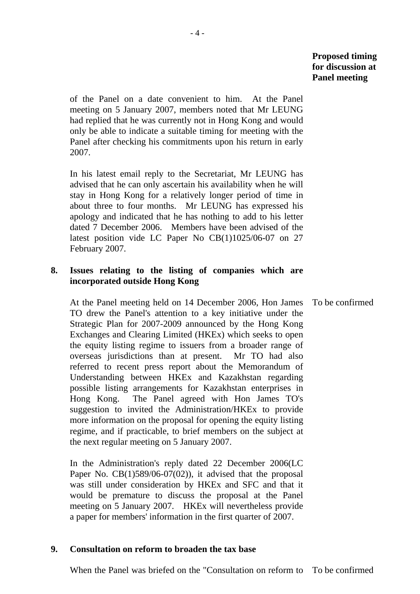of the Panel on a date convenient to him. At the Panel meeting on 5 January 2007, members noted that Mr LEUNG had replied that he was currently not in Hong Kong and would only be able to indicate a suitable timing for meeting with the Panel after checking his commitments upon his return in early 2007.

 In his latest email reply to the Secretariat, Mr LEUNG has advised that he can only ascertain his availability when he will stay in Hong Kong for a relatively longer period of time in about three to four months. Mr LEUNG has expressed his apology and indicated that he has nothing to add to his letter dated 7 December 2006. Members have been advised of the latest position vide LC Paper No CB(1)1025/06-07 on 27 February 2007.

# **8. Issues relating to the listing of companies which are incorporated outside Hong Kong**

 At the Panel meeting held on 14 December 2006, Hon James TO drew the Panel's attention to a key initiative under the Strategic Plan for 2007-2009 announced by the Hong Kong Exchanges and Clearing Limited (HKEx) which seeks to open the equity listing regime to issuers from a broader range of overseas jurisdictions than at present. Mr TO had also referred to recent press report about the Memorandum of Understanding between HKEx and Kazakhstan regarding possible listing arrangements for Kazakhstan enterprises in Hong Kong. The Panel agreed with Hon James TO's suggestion to invited the Administration/HKEx to provide more information on the proposal for opening the equity listing regime, and if practicable, to brief members on the subject at the next regular meeting on 5 January 2007. To be confirmed

 In the Administration's reply dated 22 December 2006(LC Paper No.  $CB(1)589/06-07(02)$ , it advised that the proposal was still under consideration by HKEx and SFC and that it would be premature to discuss the proposal at the Panel meeting on 5 January 2007. HKEx will nevertheless provide a paper for members' information in the first quarter of 2007.

#### **9. Consultation on reform to broaden the tax base**

When the Panel was briefed on the "Consultation on reform to To be confirmed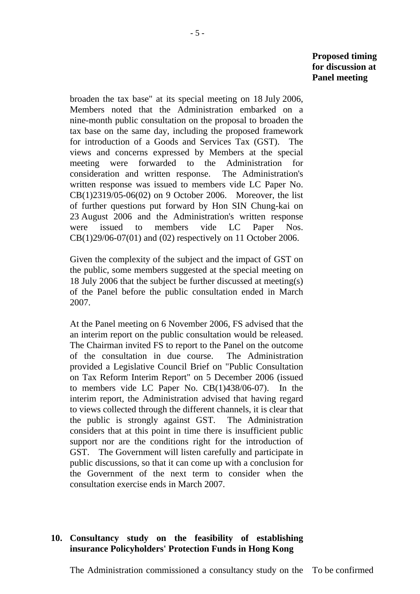broaden the tax base" at its special meeting on 18 July 2006, Members noted that the Administration embarked on a nine-month public consultation on the proposal to broaden the tax base on the same day, including the proposed framework for introduction of a Goods and Services Tax (GST). The views and concerns expressed by Members at the special meeting were forwarded to the Administration for consideration and written response. The Administration's written response was issued to members vide LC Paper No. CB(1)2319/05-06(02) on 9 October 2006. Moreover, the list of further questions put forward by Hon SIN Chung-kai on 23 August 2006 and the Administration's written response were issued to members vide LC Paper Nos. CB(1)29/06-07(01) and (02) respectively on 11 October 2006.

 Given the complexity of the subject and the impact of GST on the public, some members suggested at the special meeting on 18 July 2006 that the subject be further discussed at meeting(s) of the Panel before the public consultation ended in March 2007.

 At the Panel meeting on 6 November 2006, FS advised that the an interim report on the public consultation would be released. The Chairman invited FS to report to the Panel on the outcome of the consultation in due course. The Administration provided a Legislative Council Brief on "Public Consultation on Tax Reform Interim Report" on 5 December 2006 (issued to members vide LC Paper No. CB(1)438/06-07). In the interim report, the Administration advised that having regard to views collected through the different channels, it is clear that the public is strongly against GST. The Administration considers that at this point in time there is insufficient public support nor are the conditions right for the introduction of GST. The Government will listen carefully and participate in public discussions, so that it can come up with a conclusion for the Government of the next term to consider when the consultation exercise ends in March 2007.

# **10. Consultancy study on the feasibility of establishing insurance Policyholders' Protection Funds in Hong Kong**

The Administration commissioned a consultancy study on the To be confirmed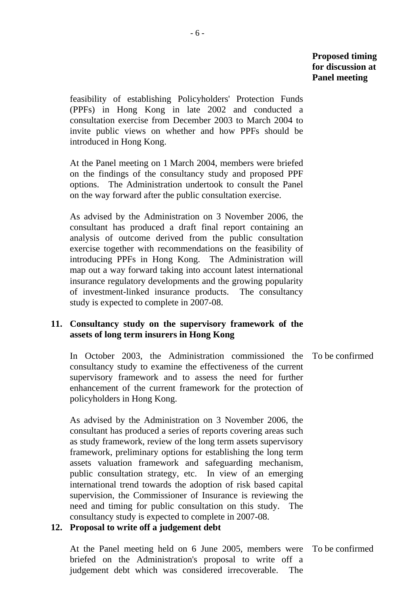feasibility of establishing Policyholders' Protection Funds (PPFs) in Hong Kong in late 2002 and conducted a consultation exercise from December 2003 to March 2004 to invite public views on whether and how PPFs should be introduced in Hong Kong.

 At the Panel meeting on 1 March 2004, members were briefed on the findings of the consultancy study and proposed PPF options. The Administration undertook to consult the Panel on the way forward after the public consultation exercise.

 As advised by the Administration on 3 November 2006, the consultant has produced a draft final report containing an analysis of outcome derived from the public consultation exercise together with recommendations on the feasibility of introducing PPFs in Hong Kong. The Administration will map out a way forward taking into account latest international insurance regulatory developments and the growing popularity of investment-linked insurance products. The consultancy study is expected to complete in 2007-08.

# **11. Consultancy study on the supervisory framework of the assets of long term insurers in Hong Kong**

 In October 2003, the Administration commissioned the consultancy study to examine the effectiveness of the current supervisory framework and to assess the need for further enhancement of the current framework for the protection of policyholders in Hong Kong. To be confirmed

 As advised by the Administration on 3 November 2006, the consultant has produced a series of reports covering areas such as study framework, review of the long term assets supervisory framework, preliminary options for establishing the long term assets valuation framework and safeguarding mechanism, public consultation strategy, etc. In view of an emerging international trend towards the adoption of risk based capital supervision, the Commissioner of Insurance is reviewing the need and timing for public consultation on this study. The consultancy study is expected to complete in 2007-08.

# **12. Proposal to write off a judgement debt**

 At the Panel meeting held on 6 June 2005, members were briefed on the Administration's proposal to write off a judgement debt which was considered irrecoverable. The To be confirmed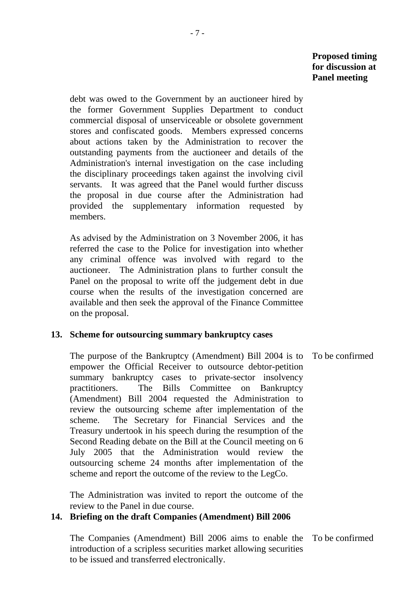debt was owed to the Government by an auctioneer hired by the former Government Supplies Department to conduct commercial disposal of unserviceable or obsolete government stores and confiscated goods. Members expressed concerns about actions taken by the Administration to recover the outstanding payments from the auctioneer and details of the Administration's internal investigation on the case including the disciplinary proceedings taken against the involving civil servants. It was agreed that the Panel would further discuss the proposal in due course after the Administration had provided the supplementary information requested by members.

 As advised by the Administration on 3 November 2006, it has referred the case to the Police for investigation into whether any criminal offence was involved with regard to the auctioneer. The Administration plans to further consult the Panel on the proposal to write off the judgement debt in due course when the results of the investigation concerned are available and then seek the approval of the Finance Committee on the proposal.

# **13. Scheme for outsourcing summary bankruptcy cases**

 The purpose of the Bankruptcy (Amendment) Bill 2004 is to empower the Official Receiver to outsource debtor-petition summary bankruptcy cases to private-sector insolvency practitioners. The Bills Committee on Bankruptcy (Amendment) Bill 2004 requested the Administration to review the outsourcing scheme after implementation of the scheme. The Secretary for Financial Services and the Treasury undertook in his speech during the resumption of the Second Reading debate on the Bill at the Council meeting on 6 July 2005 that the Administration would review the outsourcing scheme 24 months after implementation of the scheme and report the outcome of the review to the LegCo.

 The Administration was invited to report the outcome of the review to the Panel in due course.

# **14. Briefing on the draft Companies (Amendment) Bill 2006**

 The Companies (Amendment) Bill 2006 aims to enable the introduction of a scripless securities market allowing securities to be issued and transferred electronically. To be confirmed

To be confirmed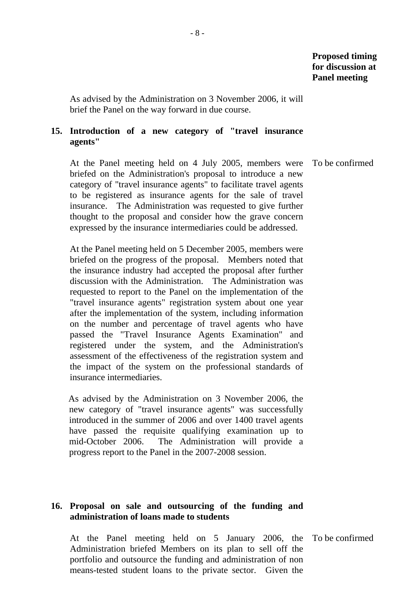As advised by the Administration on 3 November 2006, it will brief the Panel on the way forward in due course.

### **15. Introduction of a new category of "travel insurance agents"**

 At the Panel meeting held on 4 July 2005, members were briefed on the Administration's proposal to introduce a new category of "travel insurance agents" to facilitate travel agents to be registered as insurance agents for the sale of travel insurance. The Administration was requested to give further thought to the proposal and consider how the grave concern expressed by the insurance intermediaries could be addressed. To be confirmed

 At the Panel meeting held on 5 December 2005, members were briefed on the progress of the proposal. Members noted that the insurance industry had accepted the proposal after further discussion with the Administration. The Administration was requested to report to the Panel on the implementation of the "travel insurance agents" registration system about one year after the implementation of the system, including information on the number and percentage of travel agents who have passed the "Travel Insurance Agents Examination" and registered under the system, and the Administration's assessment of the effectiveness of the registration system and the impact of the system on the professional standards of insurance intermediaries.

As advised by the Administration on 3 November 2006, the new category of "travel insurance agents" was successfully introduced in the summer of 2006 and over 1400 travel agents have passed the requisite qualifying examination up to mid-October 2006. The Administration will provide a progress report to the Panel in the 2007-2008 session.

# **16. Proposal on sale and outsourcing of the funding and administration of loans made to students**

 At the Panel meeting held on 5 January 2006, the To be confirmed Administration briefed Members on its plan to sell off the portfolio and outsource the funding and administration of non means-tested student loans to the private sector. Given the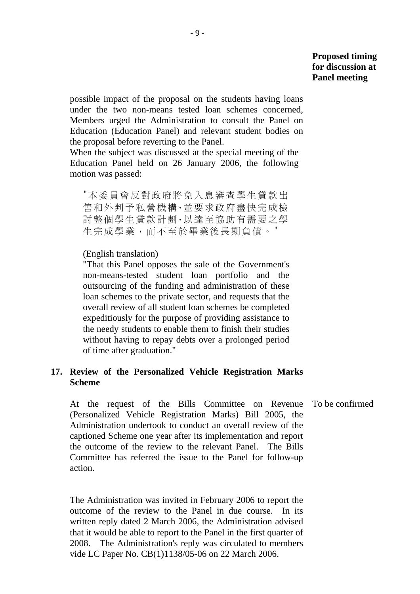possible impact of the proposal on the students having loans under the two non-means tested loan schemes concerned, Members urged the Administration to consult the Panel on Education (Education Panel) and relevant student bodies on the proposal before reverting to the Panel.

When the subject was discussed at the special meeting of the Education Panel held on 26 January 2006, the following motion was passed:

"本委員會反對政府將免入息審查學生貸款出 售和外判予私營機構,並要求政府盡快完成檢 討整個學生貸款計劃,以達至協助有需要之學 生完成學業,而不至於畢業後長期負債。"

#### (English translation)

"That this Panel opposes the sale of the Government's non-means-tested student loan portfolio and the outsourcing of the funding and administration of these loan schemes to the private sector, and requests that the overall review of all student loan schemes be completed expeditiously for the purpose of providing assistance to the needy students to enable them to finish their studies without having to repay debts over a prolonged period of time after graduation."

### **17. Review of the Personalized Vehicle Registration Marks Scheme**

 At the request of the Bills Committee on Revenue (Personalized Vehicle Registration Marks) Bill 2005, the Administration undertook to conduct an overall review of the captioned Scheme one year after its implementation and report the outcome of the review to the relevant Panel. The Bills Committee has referred the issue to the Panel for follow-up action. To be confirmed

 The Administration was invited in February 2006 to report the outcome of the review to the Panel in due course. In its written reply dated 2 March 2006, the Administration advised that it would be able to report to the Panel in the first quarter of 2008. The Administration's reply was circulated to members vide LC Paper No. CB(1)1138/05-06 on 22 March 2006.